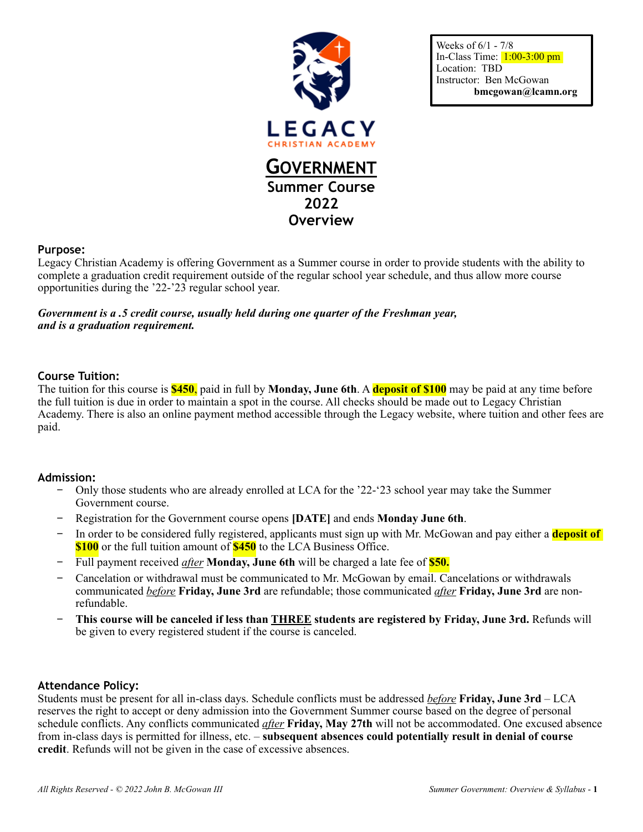

Weeks of 6/1 - 7/8 In-Class Time:  $1:00-3:00$  pm Location: TBD Instructor: Ben McGowan **bmcgowan@lcamn.org** 

# **Purpose:**

Legacy Christian Academy is offering Government as a Summer course in order to provide students with the ability to complete a graduation credit requirement outside of the regular school year schedule, and thus allow more course opportunities during the '22-'23 regular school year.

*Government is a .5 credit course, usually held during one quarter of the Freshman year, and is a graduation requirement.* 

#### **Course Tuition:**

The tuition for this course is **\$450**, paid in full by **Monday, June 6th**. A **deposit of \$100** may be paid at any time before the full tuition is due in order to maintain a spot in the course. All checks should be made out to Legacy Christian Academy. There is also an online payment method accessible through the Legacy website, where tuition and other fees are paid.

#### **Admission:**

- − Only those students who are already enrolled at LCA for the '22-'23 school year may take the Summer Government course.
- − Registration for the Government course opens **[DATE]** and ends **Monday June 6th**.
- − In order to be considered fully registered, applicants must sign up with Mr. McGowan and pay either a **deposit of \$100** or the full tuition amount of **\$450** to the LCA Business Office.
- − Full payment received *after* **Monday, June 6th** will be charged a late fee of **\$50.**
- − Cancelation or withdrawal must be communicated to Mr. McGowan by email. Cancelations or withdrawals communicated *before* **Friday, June 3rd** are refundable; those communicated *after* **Friday, June 3rd** are nonrefundable.
- − **This course will be canceled if less than THREE students are registered by Friday, June 3rd.** Refunds will be given to every registered student if the course is canceled.

# **Attendance Policy:**

Students must be present for all in-class days. Schedule conflicts must be addressed *before* **Friday, June 3rd** – LCA reserves the right to accept or deny admission into the Government Summer course based on the degree of personal schedule conflicts. Any conflicts communicated *after* **Friday, May 27th** will not be accommodated. One excused absence from in-class days is permitted for illness, etc. – **subsequent absences could potentially result in denial of course credit**. Refunds will not be given in the case of excessive absences.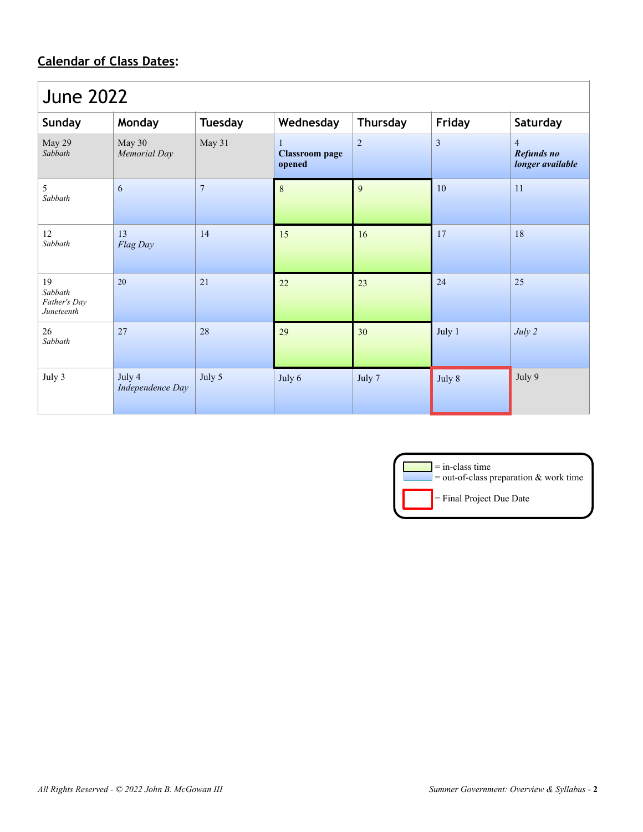# **Calendar of Class Dates:**

| <b>June 2022</b>                            |                            |                |                                      |                 |                |                                                  |  |
|---------------------------------------------|----------------------------|----------------|--------------------------------------|-----------------|----------------|--------------------------------------------------|--|
| Sunday                                      | Monday                     | <b>Tuesday</b> | Wednesday                            | <b>Thursday</b> | Friday         | Saturday                                         |  |
| May 29<br>Sabbath                           | May 30<br>Memorial Day     | May 31         | 1<br><b>Classroom</b> page<br>opened | $\overline{2}$  | $\mathfrak{Z}$ | $\overline{4}$<br>Refunds no<br>longer available |  |
| 5<br>Sabbath                                | 6                          | $\overline{7}$ | $\,8\,$                              | 9               | 10             | 11                                               |  |
| 12<br>Sabbath                               | 13<br>Flag Day             | 14             | 15                                   | 16              | 17             | 18                                               |  |
| 19<br>Sabbath<br>Father's Day<br>Juneteenth | 20                         | 21             | 22                                   | 23              | 24             | 25                                               |  |
| 26<br>Sabbath                               | 27                         | 28             | 29                                   | 30              | July 1         | July 2                                           |  |
| July 3                                      | July 4<br>Independence Day | July 5         | July 6                               | July 7          | July 8         | July 9                                           |  |

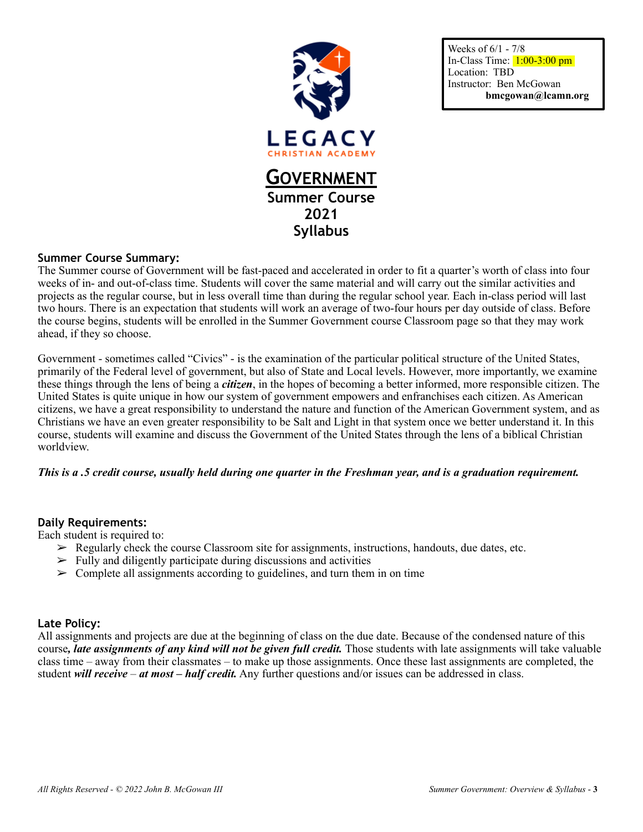

Weeks of 6/1 - 7/8 In-Class Time:  $1:00-3:00$  pm Location: TBD Instructor: Ben McGowan **bmcgowan@lcamn.org** 

# **Summer Course Summary:**

The Summer course of Government will be fast-paced and accelerated in order to fit a quarter's worth of class into four weeks of in- and out-of-class time. Students will cover the same material and will carry out the similar activities and projects as the regular course, but in less overall time than during the regular school year. Each in-class period will last two hours. There is an expectation that students will work an average of two-four hours per day outside of class. Before the course begins, students will be enrolled in the Summer Government course Classroom page so that they may work ahead, if they so choose.

Government - sometimes called "Civics" - is the examination of the particular political structure of the United States, primarily of the Federal level of government, but also of State and Local levels. However, more importantly, we examine these things through the lens of being a *citizen*, in the hopes of becoming a better informed, more responsible citizen. The United States is quite unique in how our system of government empowers and enfranchises each citizen. As American citizens, we have a great responsibility to understand the nature and function of the American Government system, and as Christians we have an even greater responsibility to be Salt and Light in that system once we better understand it. In this course, students will examine and discuss the Government of the United States through the lens of a biblical Christian worldview.

# *This is a .5 credit course, usually held during one quarter in the Freshman year, and is a graduation requirement.*

#### **Daily Requirements:**

Each student is required to:

- $\triangleright$  Regularly check the course Classroom site for assignments, instructions, handouts, due dates, etc.
- $\geq$  Fully and diligently participate during discussions and activities
- $\geq$  Complete all assignments according to guidelines, and turn them in on time

# **Late Policy:**

All assignments and projects are due at the beginning of class on the due date. Because of the condensed nature of this course*, late assignments of any kind will not be given full credit.* Those students with late assignments will take valuable class time – away from their classmates – to make up those assignments. Once these last assignments are completed, the student *will receive* – *at most – half credit.* Any further questions and/or issues can be addressed in class.